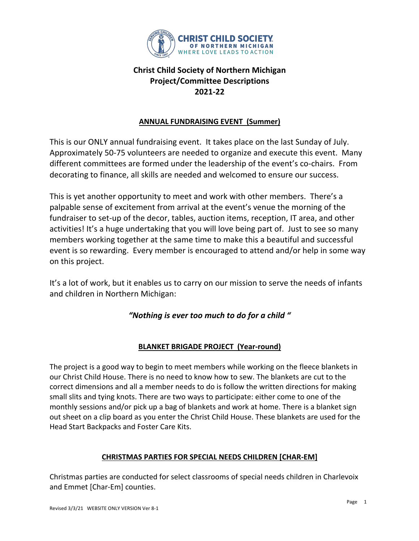

#### **ANNUAL FUNDRAISING EVENT (Summer)**

This is our ONLY annual fundraising event. It takes place on the last Sunday of July. Approximately 50-75 volunteers are needed to organize and execute this event. Many different committees are formed under the leadership of the event's co-chairs. From decorating to finance, all skills are needed and welcomed to ensure our success.

This is yet another opportunity to meet and work with other members. There's a palpable sense of excitement from arrival at the event's venue the morning of the fundraiser to set-up of the decor, tables, auction items, reception, IT area, and other activities! It's a huge undertaking that you will love being part of. Just to see so many members working together at the same time to make this a beautiful and successful event is so rewarding. Every member is encouraged to attend and/or help in some way on this project.

It's a lot of work, but it enables us to carry on our mission to serve the needs of infants and children in Northern Michigan:

### *"Nothing is ever too much to do for a child "*

### **BLANKET BRIGADE PROJECT (Year-round)**

The project is a good way to begin to meet members while working on the fleece blankets in our Christ Child House. There is no need to know how to sew. The blankets are cut to the correct dimensions and all a member needs to do is follow the written directions for making small slits and tying knots. There are two ways to participate: either come to one of the monthly sessions and/or pick up a bag of blankets and work at home. There is a blanket sign out sheet on a clip board as you enter the Christ Child House. These blankets are used for the Head Start Backpacks and Foster Care Kits.

#### **CHRISTMAS PARTIES FOR SPECIAL NEEDS CHILDREN [CHAR-EM]**

Christmas parties are conducted for select classrooms of special needs children in Charlevoix and Emmet [Char-Em] counties.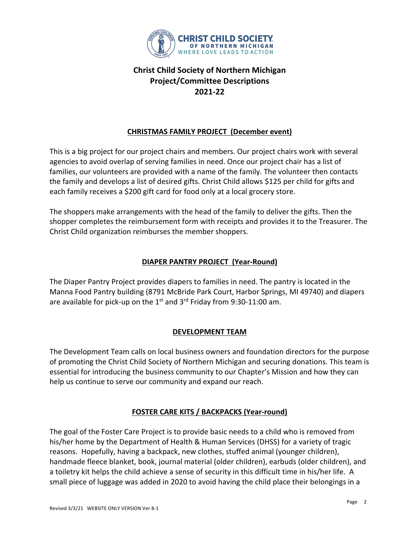

### **CHRISTMAS FAMILY PROJECT (December event)**

This is a big project for our project chairs and members. Our project chairs work with several agencies to avoid overlap of serving families in need. Once our project chair has a list of families, our volunteers are provided with a name of the family. The volunteer then contacts the family and develops a list of desired gifts. Christ Child allows \$125 per child for gifts and each family receives a \$200 gift card for food only at a local grocery store.

The shoppers make arrangements with the head of the family to deliver the gifts. Then the shopper completes the reimbursement form with receipts and provides it to the Treasurer. The Christ Child organization reimburses the member shoppers.

### **DIAPER PANTRY PROJECT (Year-Round)**

The Diaper Pantry Project provides diapers to families in need. The pantry is located in the Manna Food Pantry building (8791 McBride Park Court, Harbor Springs, MI 49740) and diapers are available for pick-up on the  $1<sup>st</sup>$  and  $3<sup>rd</sup>$  Friday from 9:30-11:00 am.

### **DEVELOPMENT TEAM**

The Development Team calls on local business owners and foundation directors for the purpose of promoting the Christ Child Society of Northern Michigan and securing donations. This team is essential for introducing the business community to our Chapter's Mission and how they can help us continue to serve our community and expand our reach.

### **FOSTER CARE KITS / BACKPACKS (Year-round)**

The goal of the Foster Care Project is to provide basic needs to a child who is removed from his/her home by the Department of Health & Human Services (DHSS) for a variety of tragic reasons. Hopefully, having a backpack, new clothes, stuffed animal (younger children), handmade fleece blanket, book, journal material (older children), earbuds (older children), and a toiletry kit helps the child achieve a sense of security in this difficult time in his/her life. A small piece of luggage was added in 2020 to avoid having the child place their belongings in a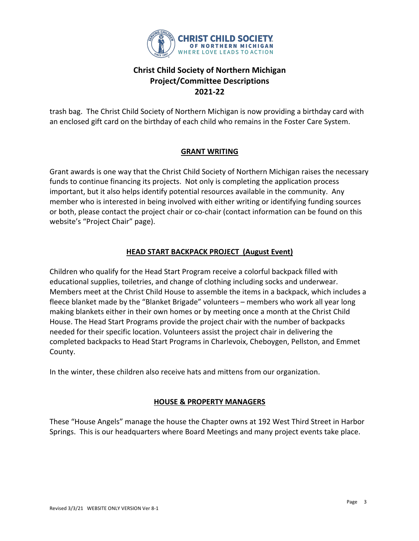

trash bag. The Christ Child Society of Northern Michigan is now providing a birthday card with an enclosed gift card on the birthday of each child who remains in the Foster Care System.

### **GRANT WRITING**

Grant awards is one way that the Christ Child Society of Northern Michigan raises the necessary funds to continue financing its projects. Not only is completing the application process important, but it also helps identify potential resources available in the community. Any member who is interested in being involved with either writing or identifying funding sources or both, please contact the project chair or co-chair (contact information can be found on this website's "Project Chair" page).

### **HEAD START BACKPACK PROJECT (August Event)**

Children who qualify for the Head Start Program receive a colorful backpack filled with educational supplies, toiletries, and change of clothing including socks and underwear. Members meet at the Christ Child House to assemble the items in a backpack, which includes a fleece blanket made by the "Blanket Brigade" volunteers – members who work all year long making blankets either in their own homes or by meeting once a month at the Christ Child House. The Head Start Programs provide the project chair with the number of backpacks needed for their specific location. Volunteers assist the project chair in delivering the completed backpacks to Head Start Programs in Charlevoix, Cheboygen, Pellston, and Emmet County.

In the winter, these children also receive hats and mittens from our organization.

### **HOUSE & PROPERTY MANAGERS**

These "House Angels" manage the house the Chapter owns at 192 West Third Street in Harbor Springs. This is our headquarters where Board Meetings and many project events take place.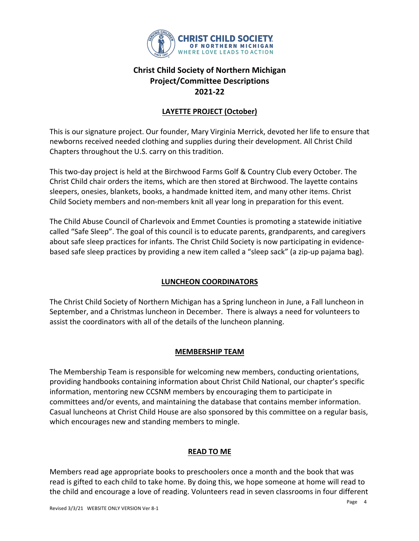

### **LAYETTE PROJECT (October)**

This is our signature project. Our founder, Mary Virginia Merrick, devoted her life to ensure that newborns received needed clothing and supplies during their development. All Christ Child Chapters throughout the U.S. carry on this tradition.

This two-day project is held at the Birchwood Farms Golf & Country Club every October. The Christ Child chair orders the items, which are then stored at Birchwood. The layette contains sleepers, onesies, blankets, books, a handmade knitted item, and many other items. Christ Child Society members and non-members knit all year long in preparation for this event.

The Child Abuse Council of Charlevoix and Emmet Counties is promoting a statewide initiative called "Safe Sleep". The goal of this council is to educate parents, grandparents, and caregivers about safe sleep practices for infants. The Christ Child Society is now participating in evidencebased safe sleep practices by providing a new item called a "sleep sack" (a zip-up pajama bag).

### **LUNCHEON COORDINATORS**

The Christ Child Society of Northern Michigan has a Spring luncheon in June, a Fall luncheon in September, and a Christmas luncheon in December. There is always a need for volunteers to assist the coordinators with all of the details of the luncheon planning.

#### **MEMBERSHIP TEAM**

The Membership Team is responsible for welcoming new members, conducting orientations, providing handbooks containing information about Christ Child National, our chapter's specific information, mentoring new CCSNM members by encouraging them to participate in committees and/or events, and maintaining the database that contains member information. Casual luncheons at Christ Child House are also sponsored by this committee on a regular basis, which encourages new and standing members to mingle.

#### **READ TO ME**

Members read age appropriate books to preschoolers once a month and the book that was read is gifted to each child to take home. By doing this, we hope someone at home will read to the child and encourage a love of reading. Volunteers read in seven classrooms in four different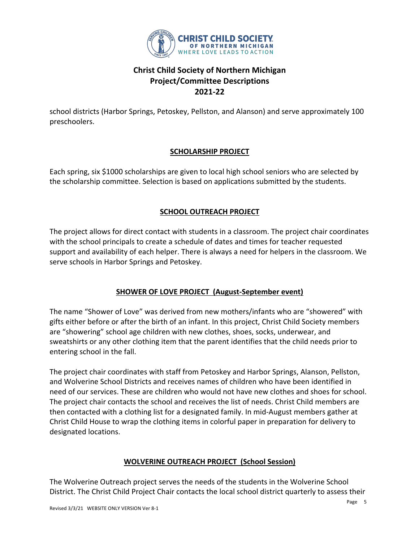

school districts (Harbor Springs, Petoskey, Pellston, and Alanson) and serve approximately 100 preschoolers.

### **SCHOLARSHIP PROJECT**

Each spring, six \$1000 scholarships are given to local high school seniors who are selected by the scholarship committee. Selection is based on applications submitted by the students.

### **SCHOOL OUTREACH PROJECT**

The project allows for direct contact with students in a classroom. The project chair coordinates with the school principals to create a schedule of dates and times for teacher requested support and availability of each helper. There is always a need for helpers in the classroom. We serve schools in Harbor Springs and Petoskey.

### **SHOWER OF LOVE PROJECT (August-September event)**

The name "Shower of Love" was derived from new mothers/infants who are "showered" with gifts either before or after the birth of an infant. In this project, Christ Child Society members are "showering" school age children with new clothes, shoes, socks, underwear, and sweatshirts or any other clothing item that the parent identifies that the child needs prior to entering school in the fall.

The project chair coordinates with staff from Petoskey and Harbor Springs, Alanson, Pellston, and Wolverine School Districts and receives names of children who have been identified in need of our services. These are children who would not have new clothes and shoes for school. The project chair contacts the school and receives the list of needs. Christ Child members are then contacted with a clothing list for a designated family. In mid-August members gather at Christ Child House to wrap the clothing items in colorful paper in preparation for delivery to designated locations.

#### **WOLVERINE OUTREACH PROJECT (School Session)**

The Wolverine Outreach project serves the needs of the students in the Wolverine School District. The Christ Child Project Chair contacts the local school district quarterly to assess their